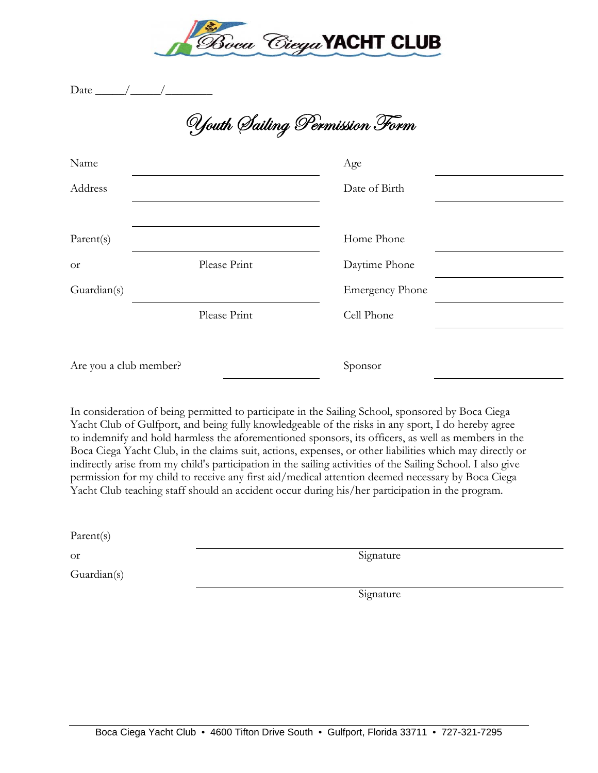

Date  $\rule{1em}{0.15mm}$ 

Youth Sailing Permission Form

| Name                   |              | Age                    |  |
|------------------------|--------------|------------------------|--|
| Address                |              | Date of Birth          |  |
|                        |              |                        |  |
| Parent(s)              |              | Home Phone             |  |
| <b>or</b>              | Please Print | Daytime Phone          |  |
| Guardian(s)            |              | <b>Emergency Phone</b> |  |
|                        | Please Print | Cell Phone             |  |
|                        |              |                        |  |
| Are you a club member? |              | Sponsor                |  |

In consideration of being permitted to participate in the Sailing School, sponsored by Boca Ciega Yacht Club of Gulfport, and being fully knowledgeable of the risks in any sport, I do hereby agree to indemnify and hold harmless the aforementioned sponsors, its officers, as well as members in the Boca Ciega Yacht Club, in the claims suit, actions, expenses, or other liabilities which may directly or indirectly arise from my child's participation in the sailing activities of the Sailing School. I also give permission for my child to receive any first aid/medical attention deemed necessary by Boca Ciega Yacht Club teaching staff should an accident occur during his/her participation in the program.

Parent(s)

Guardian(s)

or Signature

Signature